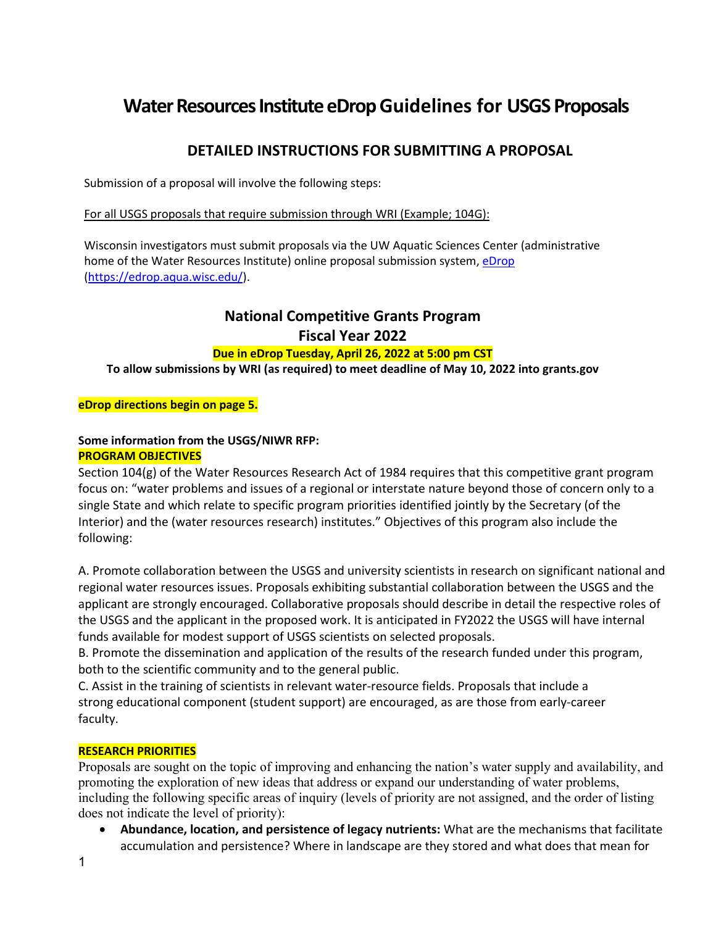# **Water Resources Institute eDrop Guidelines for USGS Proposals**

## **DETAILED INSTRUCTIONS FOR SUBMITTING A PROPOSAL**

Submission of a proposal will involve the following steps:

For all USGS proposals that require submission through WRI (Example; 104G):

Wisconsin investigators must submit proposals via the UW Aquatic Sciences Center (administrative home of the Water Resources Institute) online proposal submission system[, eDrop](https://edrop.aqua.wisc.edu/) [\(https://edrop.aqua.wisc.edu/\)](https://edrop.aqua.wisc.edu/).

## **National Competitive Grants Program Fiscal Year 2022**

## **Due in eDrop Tuesday, April 26, 2022 at 5:00 pm CST**

**To allow submissions by WRI (as required) to meet deadline of May 10, 2022 into grants.gov**

### **eDrop directions begin on page 5.**

### **Some information from the USGS/NIWR RFP: PROGRAM OBJECTIVES**

Section 104(g) of the Water Resources Research Act of 1984 requires that this competitive grant program focus on: "water problems and issues of a regional or interstate nature beyond those of concern only to a single State and which relate to specific program priorities identified jointly by the Secretary (of the Interior) and the (water resources research) institutes." Objectives of this program also include the following:

A. Promote collaboration between the USGS and university scientists in research on significant national and regional water resources issues. Proposals exhibiting substantial collaboration between the USGS and the applicant are strongly encouraged. Collaborative proposals should describe in detail the respective roles of the USGS and the applicant in the proposed work. It is anticipated in FY2022 the USGS will have internal funds available for modest support of USGS scientists on selected proposals.

B. Promote the dissemination and application of the results of the research funded under this program, both to the scientific community and to the general public.

C. Assist in the training of scientists in relevant water-resource fields. Proposals that include a strong educational component (student support) are encouraged, as are those from early-career faculty.

## **RESEARCH PRIORITIES**

Proposals are sought on the topic of improving and enhancing the nation's water supply and availability, and promoting the exploration of new ideas that address or expand our understanding of water problems, including the following specific areas of inquiry (levels of priority are not assigned, and the order of listing does not indicate the level of priority):

• **Abundance, location, and persistence of legacy nutrients:** What are the mechanisms that facilitate accumulation and persistence? Where in landscape are they stored and what does that mean for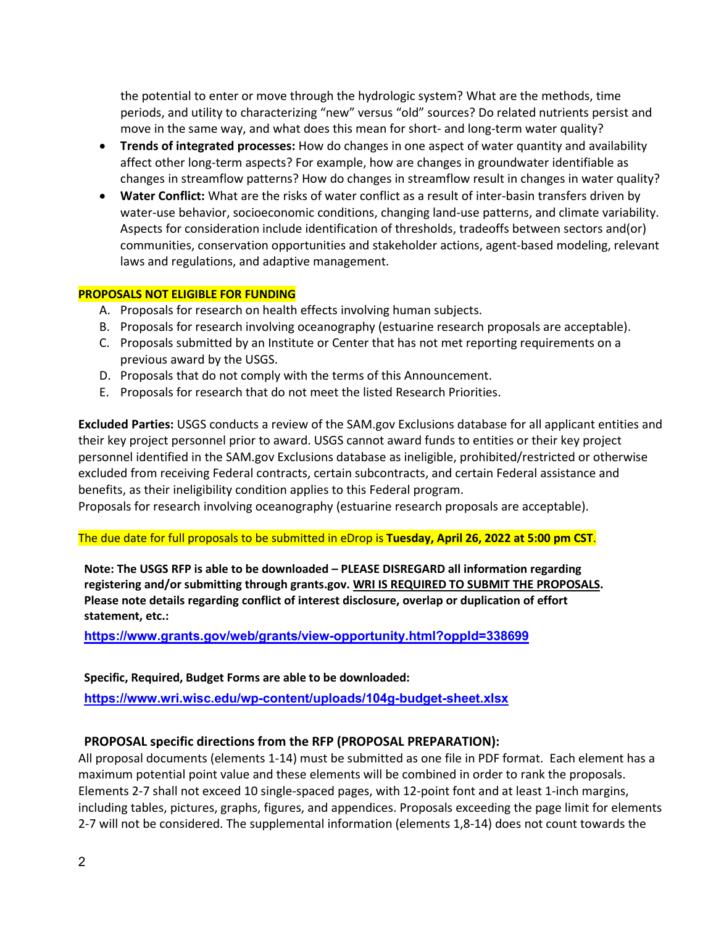the potential to enter or move through the hydrologic system? What are the methods, time periods, and utility to characterizing "new" versus "old" sources? Do related nutrients persist and move in the same way, and what does this mean for short- and long-term water quality?

- **Trends of integrated processes:** How do changes in one aspect of water quantity and availability affect other long-term aspects? For example, how are changes in groundwater identifiable as changes in streamflow patterns? How do changes in streamflow result in changes in water quality?
- **Water Conflict:** What are the risks of water conflict as a result of inter-basin transfers driven by water-use behavior, socioeconomic conditions, changing land-use patterns, and climate variability. Aspects for consideration include identification of thresholds, tradeoffs between sectors and(or) communities, conservation opportunities and stakeholder actions, agent-based modeling, relevant laws and regulations, and adaptive management.

#### **PROPOSALS NOT ELIGIBLE FOR FUNDING**

- A. Proposals for research on health effects involving human subjects.
- B. Proposals for research involving oceanography (estuarine research proposals are acceptable).
- C. Proposals submitted by an Institute or Center that has not met reporting requirements on a previous award by the USGS.
- D. Proposals that do not comply with the terms of this Announcement.
- E. Proposals for research that do not meet the listed Research Priorities.

**Excluded Parties:** USGS conducts a review of the SAM.gov Exclusions database for all applicant entities and their key project personnel prior to award. USGS cannot award funds to entities or their key project personnel identified in the SAM.gov Exclusions database as ineligible, prohibited/restricted or otherwise excluded from receiving Federal contracts, certain subcontracts, and certain Federal assistance and benefits, as their ineligibility condition applies to this Federal program.

Proposals for research involving oceanography (estuarine research proposals are acceptable).

The due date for full proposals to be submitted in eDrop is **Tuesday, April 26, 2022 at 5:00 pm CST**.

**Note: The USGS RFP is able to be downloaded – PLEASE DISREGARD all information regarding registering and/or submitting through grants.gov. WRI IS REQUIRED TO SUBMIT THE PROPOSALS. Please note details regarding conflict of interest disclosure, overlap or duplication of effort statement, etc.:** 

**<https://www.grants.gov/web/grants/view-opportunity.html?oppId=338699>**

#### **Specific, Required, Budget Forms are able to be downloaded:**

**<https://www.wri.wisc.edu/wp-content/uploads/104g-budget-sheet.xlsx>**

## **PROPOSAL specific directions from the RFP (PROPOSAL PREPARATION):**

All proposal documents (elements 1-14) must be submitted as one file in PDF format. Each element has a maximum potential point value and these elements will be combined in order to rank the proposals. Elements 2-7 shall not exceed 10 single-spaced pages, with 12-point font and at least 1-inch margins, including tables, pictures, graphs, figures, and appendices. Proposals exceeding the page limit for elements 2-7 will not be considered. The supplemental information (elements 1,8-14) does not count towards the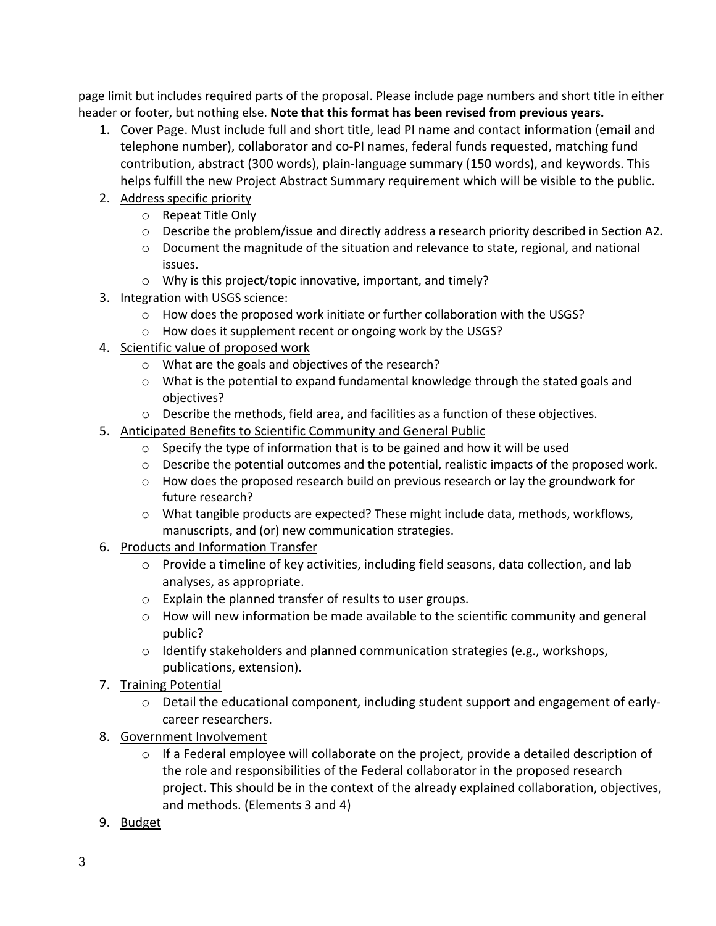page limit but includes required parts of the proposal. Please include page numbers and short title in either header or footer, but nothing else. **Note that this format has been revised from previous years.**

- 1. Cover Page. Must include full and short title, lead PI name and contact information (email and telephone number), collaborator and co-PI names, federal funds requested, matching fund contribution, abstract (300 words), plain-language summary (150 words), and keywords. This helps fulfill the new Project Abstract Summary requirement which will be visible to the public.
- 2. Address specific priority
	- o Repeat Title Only
	- o Describe the problem/issue and directly address a research priority described in Section A2.
	- o Document the magnitude of the situation and relevance to state, regional, and national issues.
	- o Why is this project/topic innovative, important, and timely?
- 3. Integration with USGS science:
	- o How does the proposed work initiate or further collaboration with the USGS?
	- o How does it supplement recent or ongoing work by the USGS?
- 4. Scientific value of proposed work
	- o What are the goals and objectives of the research?
	- $\circ$  What is the potential to expand fundamental knowledge through the stated goals and objectives?
	- o Describe the methods, field area, and facilities as a function of these objectives.
- 5. Anticipated Benefits to Scientific Community and General Public
	- o Specify the type of information that is to be gained and how it will be used
	- $\circ$  Describe the potential outcomes and the potential, realistic impacts of the proposed work.
	- $\circ$  How does the proposed research build on previous research or lay the groundwork for future research?
	- $\circ$  What tangible products are expected? These might include data, methods, workflows, manuscripts, and (or) new communication strategies.
- 6. Products and Information Transfer
	- $\circ$  Provide a timeline of key activities, including field seasons, data collection, and lab analyses, as appropriate.
	- o Explain the planned transfer of results to user groups.
	- o How will new information be made available to the scientific community and general public?
	- $\circ$  Identify stakeholders and planned communication strategies (e.g., workshops, publications, extension).
- 7. Training Potential
	- $\circ$  Detail the educational component, including student support and engagement of earlycareer researchers.
- 8. Government Involvement
	- $\circ$  If a Federal employee will collaborate on the project, provide a detailed description of the role and responsibilities of the Federal collaborator in the proposed research project. This should be in the context of the already explained collaboration, objectives, and methods. (Elements 3 and 4)
- 9. Budget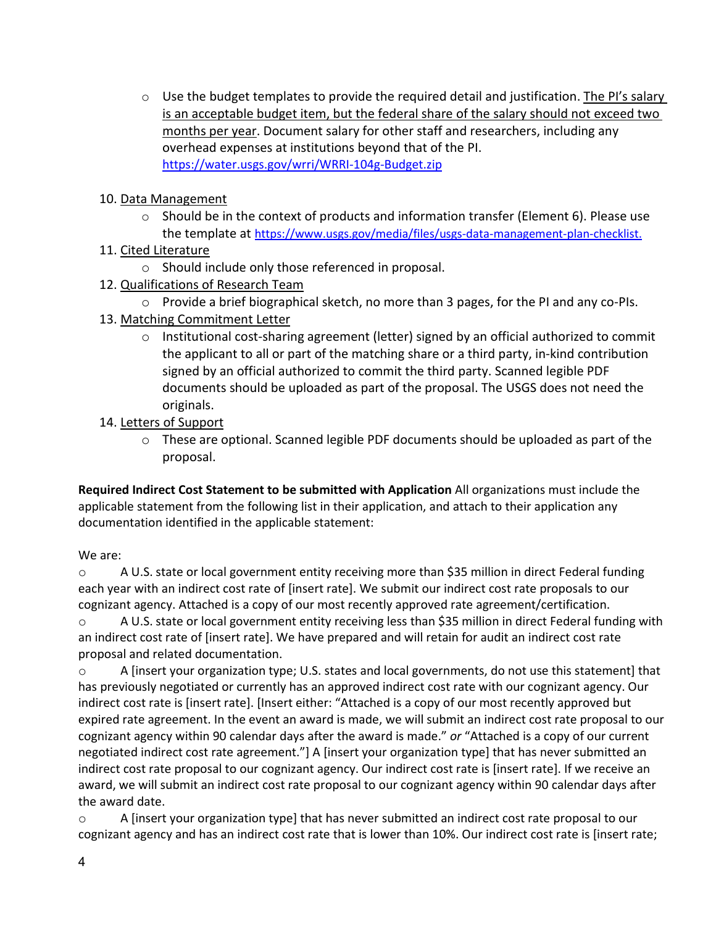o Use the budget templates to provide the required detail and justification. The PI's salary is an acceptable budget item, but the federal share of the salary should not exceed two months per year. Document salary for other staff and researchers, including any overhead expenses at institutions beyond that of the PI. <https://water.usgs.gov/wrri/WRRI-104g-Budget.zip>

## 10. Data Management

 $\circ$  Should be in the context of products and information transfer (Element 6). Please use the template at https://www.usgs.gov/media/files/usgs-data-management-plan-checklist.

## 11. Cited Literature

- o Should include only those referenced in proposal.
- 12. Qualifications of Research Team
	- o Provide a brief biographical sketch, no more than 3 pages, for the PI and any co-PIs.
- 13. Matching Commitment Letter
	- o Institutional cost-sharing agreement (letter) signed by an official authorized to commit the applicant to all or part of the matching share or a third party, in-kind contribution signed by an official authorized to commit the third party. Scanned legible PDF documents should be uploaded as part of the proposal. The USGS does not need the originals.

## 14. Letters of Support

o These are optional. Scanned legible PDF documents should be uploaded as part of the proposal.

**Required Indirect Cost Statement to be submitted with Application** All organizations must include the applicable statement from the following list in their application, and attach to their application any documentation identified in the applicable statement:

## We are:

o A U.S. state or local government entity receiving more than \$35 million in direct Federal funding each year with an indirect cost rate of [insert rate]. We submit our indirect cost rate proposals to our cognizant agency. Attached is a copy of our most recently approved rate agreement/certification. o A U.S. state or local government entity receiving less than \$35 million in direct Federal funding with

an indirect cost rate of [insert rate]. We have prepared and will retain for audit an indirect cost rate proposal and related documentation.

o A [insert your organization type; U.S. states and local governments, do not use this statement] that has previously negotiated or currently has an approved indirect cost rate with our cognizant agency. Our indirect cost rate is [insert rate]. [Insert either: "Attached is a copy of our most recently approved but expired rate agreement. In the event an award is made, we will submit an indirect cost rate proposal to our cognizant agency within 90 calendar days after the award is made." *or* "Attached is a copy of our current negotiated indirect cost rate agreement."] A [insert your organization type] that has never submitted an indirect cost rate proposal to our cognizant agency. Our indirect cost rate is [insert rate]. If we receive an award, we will submit an indirect cost rate proposal to our cognizant agency within 90 calendar days after the award date.

o A [insert your organization type] that has never submitted an indirect cost rate proposal to our cognizant agency and has an indirect cost rate that is lower than 10%. Our indirect cost rate is [insert rate;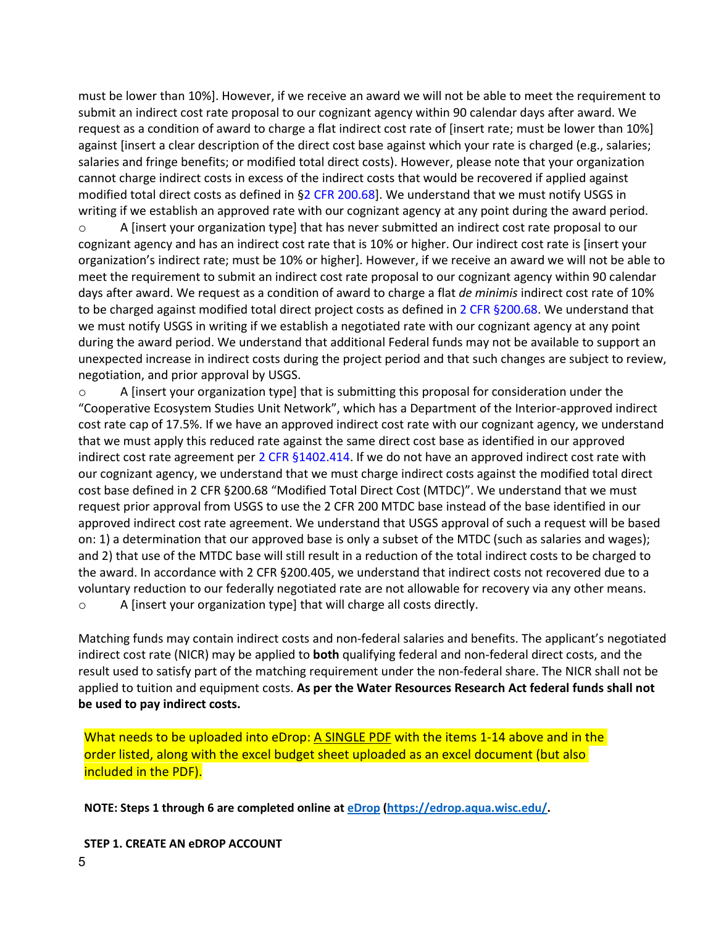must be lower than 10%]. However, if we receive an award we will not be able to meet the requirement to submit an indirect cost rate proposal to our cognizant agency within 90 calendar days after award. We request as a condition of award to charge a flat indirect cost rate of [insert rate; must be lower than 10%] against [insert a clear description of the direct cost base against which your rate is charged (e.g., salaries; salaries and fringe benefits; or modified total direct costs). However, please note that your organization cannot charge indirect costs in excess of the indirect costs that would be recovered if applied against modified total direct costs as defined in  $\S2$  CFR 200.68]. We understand that we must notify USGS in writing if we establish an approved rate with our cognizant agency at any point during the award period.

o A [insert your organization type] that has never submitted an indirect cost rate proposal to our cognizant agency and has an indirect cost rate that is 10% or higher. Our indirect cost rate is [insert your organization's indirect rate; must be 10% or higher]. However, if we receive an award we will not be able to meet the requirement to submit an indirect cost rate proposal to our cognizant agency within 90 calendar days after award. We request as a condition of award to charge a flat *de minimis* indirect cost rate of 10% to be charged against modified total direct project costs as defined in 2 CFR §200.68. We understand that we must notify USGS in writing if we establish a negotiated rate with our cognizant agency at any point during the award period. We understand that additional Federal funds may not be available to support an unexpected increase in indirect costs during the project period and that such changes are subject to review, negotiation, and prior approval by USGS.

o A [insert your organization type] that is submitting this proposal for consideration under the "Cooperative Ecosystem Studies Unit Network", which has a Department of the Interior-approved indirect cost rate cap of 17.5%. If we have an approved indirect cost rate with our cognizant agency, we understand that we must apply this reduced rate against the same direct cost base as identified in our approved indirect cost rate agreement per 2 CFR §1402.414. If we do not have an approved indirect cost rate with our cognizant agency, we understand that we must charge indirect costs against the modified total direct cost base defined in 2 CFR §200.68 "Modified Total Direct Cost (MTDC)". We understand that we must request prior approval from USGS to use the 2 CFR 200 MTDC base instead of the base identified in our approved indirect cost rate agreement. We understand that USGS approval of such a request will be based on: 1) a determination that our approved base is only a subset of the MTDC (such as salaries and wages); and 2) that use of the MTDC base will still result in a reduction of the total indirect costs to be charged to the award. In accordance with 2 CFR §200.405, we understand that indirect costs not recovered due to a voluntary reduction to our federally negotiated rate are not allowable for recovery via any other means. o A [insert your organization type] that will charge all costs directly.

Matching funds may contain indirect costs and non-federal salaries and benefits. The applicant's negotiated indirect cost rate (NICR) may be applied to **both** qualifying federal and non-federal direct costs, and the result used to satisfy part of the matching requirement under the non-federal share. The NICR shall not be applied to tuition and equipment costs. **As per the Water Resources Research Act federal funds shall not be used to pay indirect costs.**

What needs to be uploaded into eDrop: A SINGLE PDF with the items 1-14 above and in the order listed, along with the excel budget sheet uploaded as an excel document (but also included in the PDF).

**NOTE: Steps 1 through 6 are completed online at [eDrop](https://edrop.aqua.wisc.edu/) [\(https://edrop.aqua.wisc.edu/.](https://edrop.aqua.wisc.edu/)**

**STEP 1. CREATE AN eDROP ACCOUNT**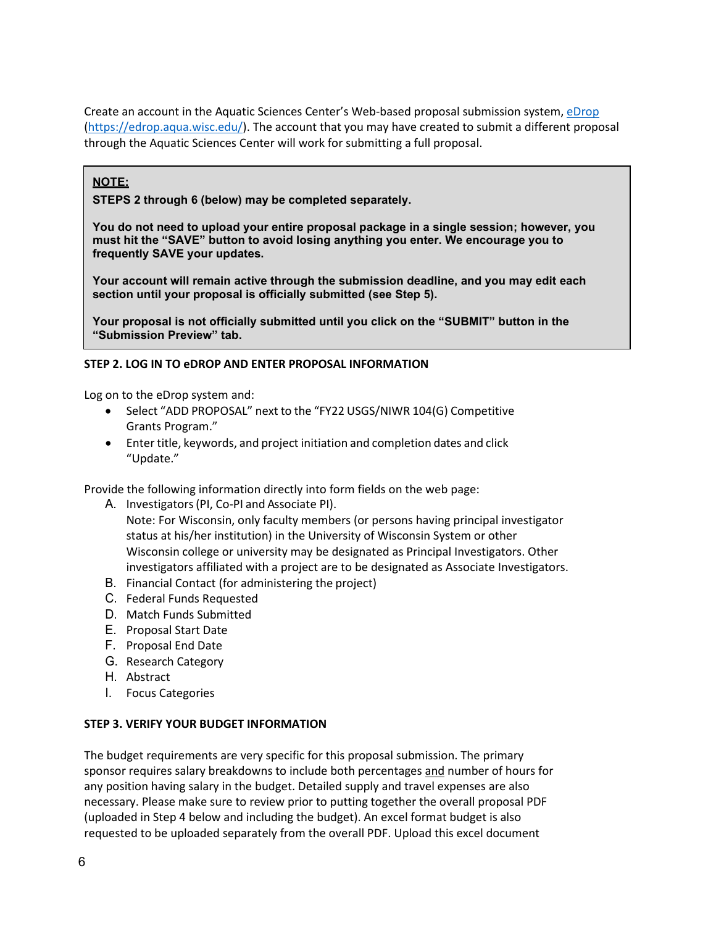Create an account in the Aquatic Sciences Center's Web-based proposal submission system[, eDrop](https://edrop.aqua.wisc.edu/) [\(https://edrop.aqua.wisc.edu/\)](https://edrop.aqua.wisc.edu/). The account that you may have created to submit a different proposal through the Aquatic Sciences Center will work for submitting a full proposal.

### **NOTE:**

**STEPS 2 through 6 (below) may be completed separately.**

**You do not need to upload your entire proposal package in a single session; however, you must hit the "SAVE" button to avoid losing anything you enter. We encourage you to frequently SAVE your updates.**

**Your account will remain active through the submission deadline, and you may edit each section until your proposal is officially submitted (see Step 5).**

**Your proposal is not officially submitted until you click on the "SUBMIT" button in the "Submission Preview" tab.**

#### **STEP 2. LOG IN TO eDROP AND ENTER PROPOSAL INFORMATION**

Log on to the eDrop system and:

- Select "ADD PROPOSAL" next to the "FY22 USGS/NIWR 104(G) Competitive Grants Program."
- Enter title, keywords, and project initiation and completion dates and click "Update."

Provide the following information directly into form fields on the web page:

A. Investigators(PI, Co-PI and Associate PI).

Note: For Wisconsin, only faculty members (or persons having principal investigator status at his/her institution) in the University of Wisconsin System or other Wisconsin college or university may be designated as Principal Investigators. Other investigators affiliated with a project are to be designated as Associate Investigators.

- B. Financial Contact (for administering the project)
- C. Federal Funds Requested
- D. Match Funds Submitted
- E. Proposal Start Date
- F. Proposal End Date
- G. Research Category
- H. Abstract
- I. Focus Categories

#### **STEP 3. VERIFY YOUR BUDGET INFORMATION**

The budget requirements are very specific for this proposal submission. The primary sponsor requires salary breakdowns to include both percentages and number of hours for any position having salary in the budget. Detailed supply and travel expenses are also necessary. Please make sure to review prior to putting together the overall proposal PDF (uploaded in Step 4 below and including the budget). An excel format budget is also requested to be uploaded separately from the overall PDF. Upload this excel document